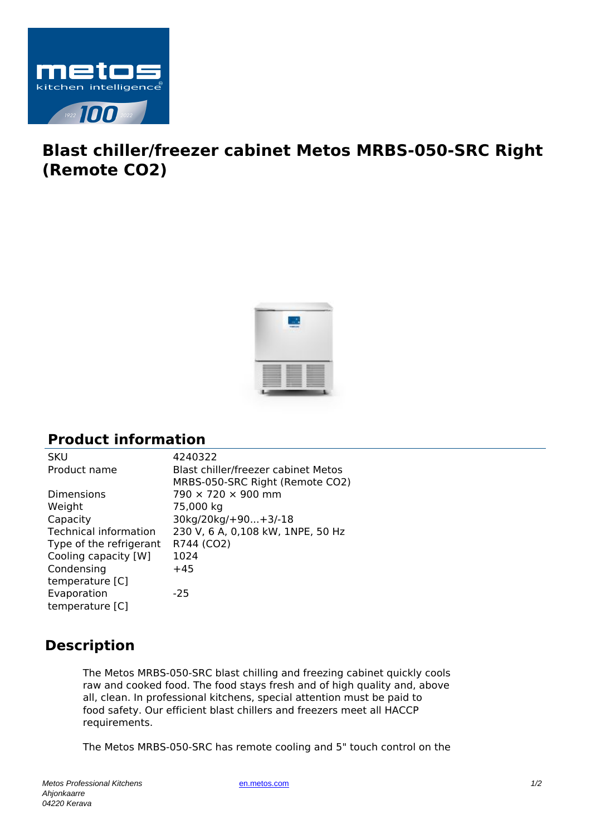

## **Blast chiller/freezer cabinet Metos MRBS-050-SRC Right (Remote CO2)**



## **Product information**

| <b>SKU</b>                   | 4240322                             |
|------------------------------|-------------------------------------|
| Product name                 | Blast chiller/freezer cabinet Metos |
|                              | MRBS-050-SRC Right (Remote CO2)     |
| <b>Dimensions</b>            | $790 \times 720 \times 900$ mm      |
| Weight                       | 75,000 kg                           |
| Capacity                     | 30kg/20kg/+90+3/-18                 |
| <b>Technical information</b> | 230 V, 6 A, 0,108 kW, 1NPE, 50 Hz   |
| Type of the refrigerant      | R744 (CO2)                          |
| Cooling capacity [W]         | 1024                                |
| Condensing                   | $+45$                               |
| temperature [C]              |                                     |
| Evaporation                  | $-25$                               |
| temperature [C]              |                                     |

## **Description**

The Metos MRBS-050-SRC blast chilling and freezing cabinet quickly cools raw and cooked food. The food stays fresh and of high quality and, above all, clean. In professional kitchens, special attention must be paid to food safety. Our efficient blast chillers and freezers meet all HACCP requirements.

The Metos MRBS-050-SRC has remote cooling and 5" touch control on the